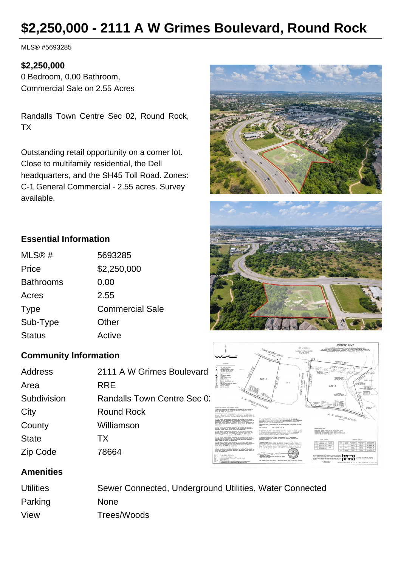# **\$2,250,000 - 2111 A W Grimes Boulevard, Round Rock**

MLS® #5693285

#### **\$2,250,000**

0 Bedroom, 0.00 Bathroom, Commercial Sale on 2.55 Acres

Randalls Town Centre Sec 02, Round Rock, TX

Outstanding retail opportunity on a corner lot. Close to multifamily residential, the Dell headquarters, and the SH45 Toll Road. Zones: C-1 General Commercial - 2.55 acres. Survey available.







# **Essential Information**

| MLS@#            | 5693285                |
|------------------|------------------------|
| Price            | \$2,250,000            |
| <b>Bathrooms</b> | 0.00                   |
| Acres            | 2.55                   |
| <b>Type</b>      | <b>Commercial Sale</b> |
| Sub-Type         | Other                  |
| <b>Status</b>    | Active                 |
|                  |                        |

## **Community Information**

| Address      | 2111 A W Grimes Boulevard   |
|--------------|-----------------------------|
| Area         | <b>RRE</b>                  |
| Subdivision  | Randalls Town Centre Sec 0. |
| City         | <b>Round Rock</b>           |
| County       | Williamson                  |
| <b>State</b> | <b>TX</b>                   |
| Zip Code     | 78664                       |

### **Amenities**

| <b>Utilities</b> | Sewer Connected, Underground Utilities, Water Connected |
|------------------|---------------------------------------------------------|
| Parking          | <b>None</b>                                             |
| View             | Trees/Woods                                             |